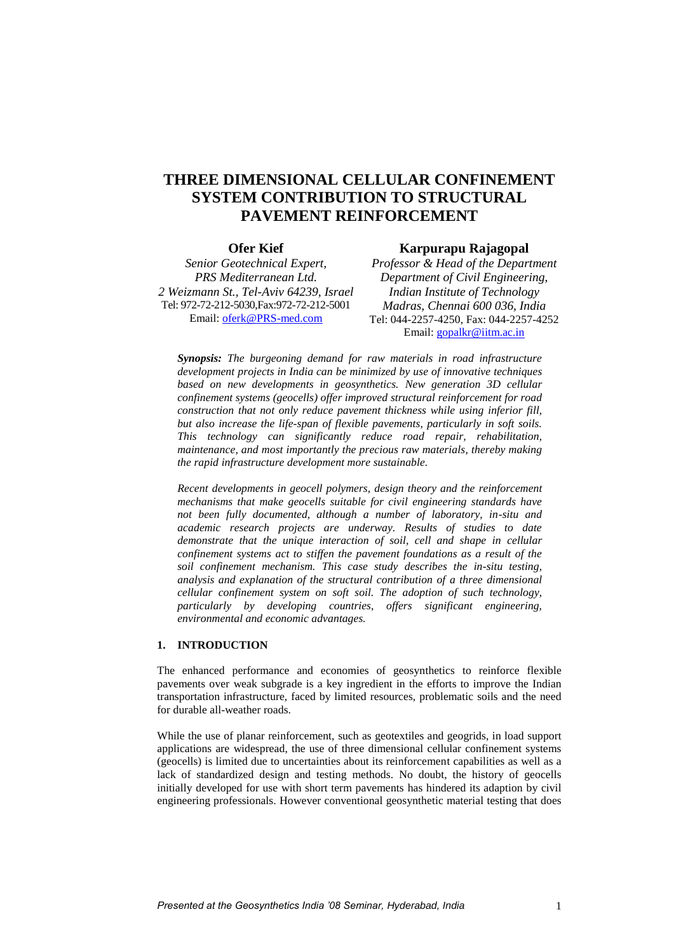# **THREE DIMENSIONAL CELLULAR CONFINEMENT SYSTEM CONTRIBUTION TO STRUCTURAL PAVEMENT REINFORCEMENT**

# **Ofer Kief**

*Senior Geotechnical Expert, PRS Mediterranean Ltd. 2 Weizmann St., Tel-Aviv 64239, Israel* Tel: 972-72-212-5030,Fax:972-72-212-5001 Email: [oferk@PRS-med.com](mailto:oferk@prs-med.com)

## **Karpurapu Rajagopal**

*Professor & Head of the Department Department of Civil Engineering, Indian Institute of Technology Madras, Chennai 600 036, India* Tel: 044-2257-4250, Fax: 044-2257-4252 Email: [gopalkr@iitm.ac.in](mailto:gopalkr@iitm.ac.in)

*Synopsis: The burgeoning demand for raw materials in road infrastructure development projects in India can be minimized by use of innovative techniques based on new developments in geosynthetics. New generation 3D cellular confinement systems (geocells) offer improved structural reinforcement for road construction that not only reduce pavement thickness while using inferior fill, but also increase the life-span of flexible pavements, particularly in soft soils. This technology can significantly reduce road repair, rehabilitation, maintenance, and most importantly the precious raw materials, thereby making the rapid infrastructure development more sustainable.*

*Recent developments in geocell polymers, design theory and the reinforcement mechanisms that make geocells suitable for civil engineering standards have not been fully documented, although a number of laboratory, in-situ and academic research projects are underway. Results of studies to date demonstrate that the unique interaction of soil, cell and shape in cellular confinement systems act to stiffen the pavement foundations as a result of the soil confinement mechanism. This case study describes the in-situ testing, analysis and explanation of the structural contribution of a three dimensional cellular confinement system on soft soil. The adoption of such technology, particularly by developing countries, offers significant engineering, environmental and economic advantages.* 

## **1. INTRODUCTION**

The enhanced performance and economies of geosynthetics to reinforce flexible pavements over weak subgrade is a key ingredient in the efforts to improve the Indian transportation infrastructure, faced by limited resources, problematic soils and the need for durable all-weather roads.

While the use of planar reinforcement, such as geotextiles and geogrids, in load support applications are widespread, the use of three dimensional cellular confinement systems (geocells) is limited due to uncertainties about its reinforcement capabilities as well as a lack of standardized design and testing methods. No doubt, the history of geocells initially developed for use with short term pavements has hindered its adaption by civil engineering professionals. However conventional geosynthetic material testing that does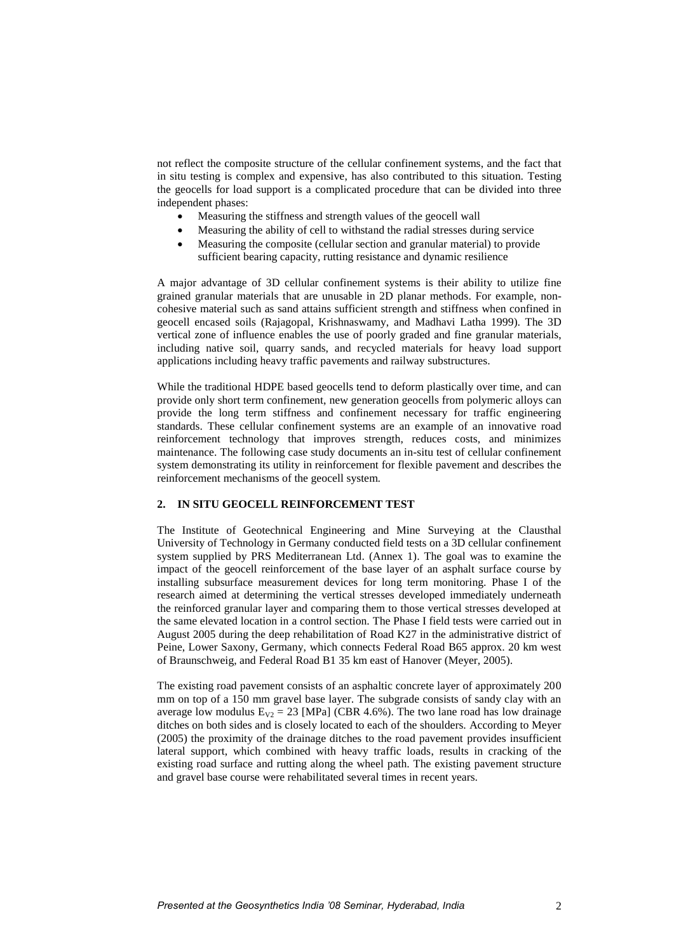not reflect the composite structure of the cellular confinement systems, and the fact that in situ testing is complex and expensive, has also contributed to this situation. Testing the geocells for load support is a complicated procedure that can be divided into three independent phases:

- Measuring the stiffness and strength values of the geocell wall
- Measuring the ability of cell to withstand the radial stresses during service
- Measuring the composite (cellular section and granular material) to provide sufficient bearing capacity, rutting resistance and dynamic resilience

A major advantage of 3D cellular confinement systems is their ability to utilize fine grained granular materials that are unusable in 2D planar methods. For example, noncohesive material such as sand attains sufficient strength and stiffness when confined in geocell encased soils (Rajagopal, Krishnaswamy, and Madhavi Latha 1999). The 3D vertical zone of influence enables the use of poorly graded and fine granular materials, including native soil, quarry sands, and recycled materials for heavy load support applications including heavy traffic pavements and railway substructures.

While the traditional HDPE based geocells tend to deform plastically over time, and can provide only short term confinement, new generation geocells from polymeric alloys can provide the long term stiffness and confinement necessary for traffic engineering standards. These cellular confinement systems are an example of an innovative road reinforcement technology that improves strength, reduces costs, and minimizes maintenance. The following case study documents an in-situ test of cellular confinement system demonstrating its utility in reinforcement for flexible pavement and describes the reinforcement mechanisms of the geocell system.

#### **2. IN SITU GEOCELL REINFORCEMENT TEST**

The Institute of Geotechnical Engineering and Mine Surveying at the Clausthal University of Technology in Germany conducted field tests on a 3D cellular confinement system supplied by PRS Mediterranean Ltd. (Annex 1). The goal was to examine the impact of the geocell reinforcement of the base layer of an asphalt surface course by installing subsurface measurement devices for long term monitoring. Phase I of the research aimed at determining the vertical stresses developed immediately underneath the reinforced granular layer and comparing them to those vertical stresses developed at the same elevated location in a control section. The Phase I field tests were carried out in August 2005 during the deep rehabilitation of Road K27 in the administrative district of Peine, Lower Saxony, Germany, which connects Federal Road B65 approx. 20 km west of Braunschweig, and Federal Road B1 35 km east of Hanover (Meyer, 2005).

The existing road pavement consists of an asphaltic concrete layer of approximately 200 mm on top of a 150 mm gravel base layer. The subgrade consists of sandy clay with an average low modulus  $E_{V2} = 23$  [MPa] (CBR 4.6%). The two lane road has low drainage ditches on both sides and is closely located to each of the shoulders. According to Meyer (2005) the proximity of the drainage ditches to the road pavement provides insufficient lateral support, which combined with heavy traffic loads, results in cracking of the existing road surface and rutting along the wheel path. The existing pavement structure and gravel base course were rehabilitated several times in recent years.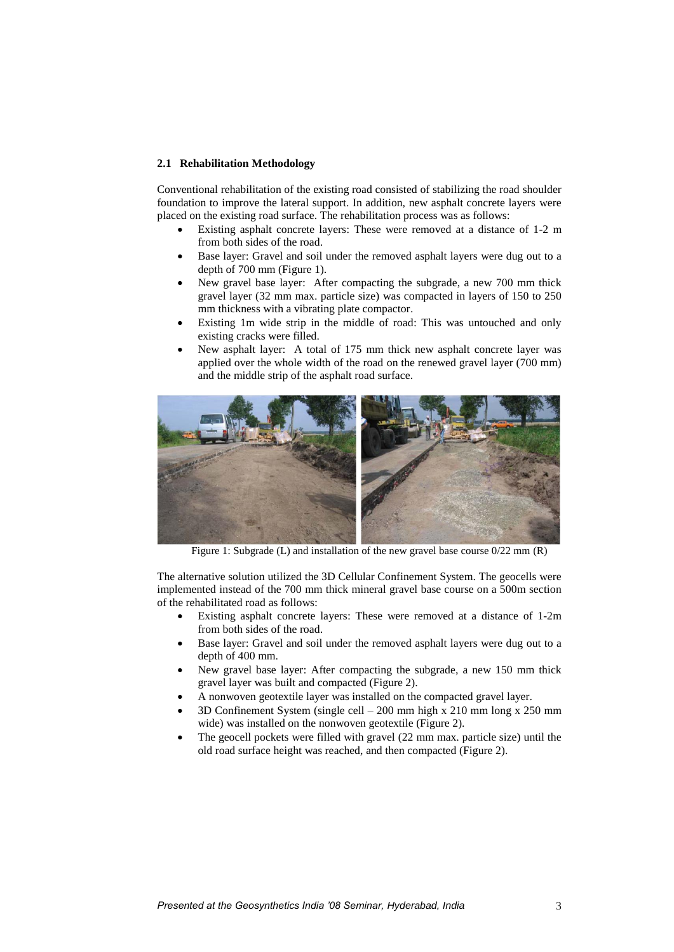## **2.1 Rehabilitation Methodology**

Conventional rehabilitation of the existing road consisted of stabilizing the road shoulder foundation to improve the lateral support. In addition, new asphalt concrete layers were placed on the existing road surface. The rehabilitation process was as follows:

- Existing asphalt concrete layers: These were removed at a distance of 1-2 m from both sides of the road.
- Base layer: Gravel and soil under the removed asphalt layers were dug out to a depth of 700 mm (Figure 1).
- New gravel base layer: After compacting the subgrade, a new 700 mm thick gravel layer (32 mm max. particle size) was compacted in layers of 150 to 250 mm thickness with a vibrating plate compactor.
- Existing 1m wide strip in the middle of road: This was untouched and only existing cracks were filled.
- New asphalt layer: A total of 175 mm thick new asphalt concrete layer was applied over the whole width of the road on the renewed gravel layer (700 mm) and the middle strip of the asphalt road surface.



Figure 1: Subgrade (L) and installation of the new gravel base course  $0/22$  mm (R)

The alternative solution utilized the 3D Cellular Confinement System. The geocells were implemented instead of the 700 mm thick mineral gravel base course on a 500m section of the rehabilitated road as follows:

- Existing asphalt concrete layers: These were removed at a distance of 1-2m from both sides of the road.
- Base layer: Gravel and soil under the removed asphalt layers were dug out to a depth of 400 mm.
- New gravel base layer: After compacting the subgrade, a new 150 mm thick gravel layer was built and compacted (Figure 2).
- A nonwoven geotextile layer was installed on the compacted gravel layer.
- 3D Confinement System (single cell 200 mm high x 210 mm long x 250 mm wide) was installed on the nonwoven geotextile (Figure 2).
- The geocell pockets were filled with gravel (22 mm max. particle size) until the old road surface height was reached, and then compacted (Figure 2).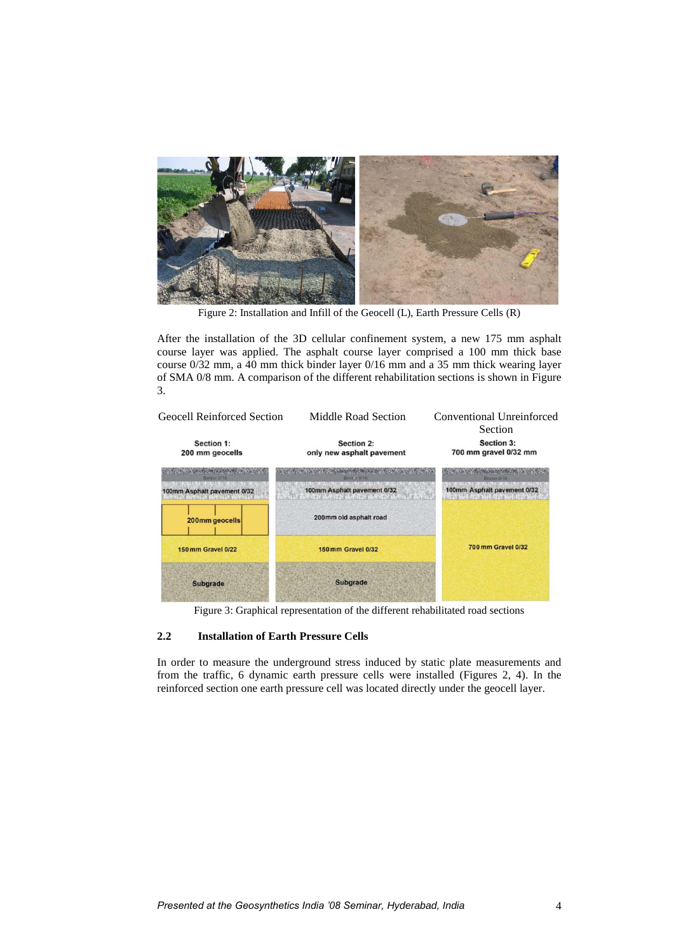

Figure 2: Installation and Infill of the Geocell (L), Earth Pressure Cells (R)

After the installation of the 3D cellular confinement system, a new 175 mm asphalt course layer was applied. The asphalt course layer comprised a 100 mm thick base course 0/32 mm, a 40 mm thick binder layer 0/16 mm and a 35 mm thick wearing layer of SMA 0/8 mm. A comparison of the different rehabilitation sections is shown in Figure 3.



Figure 3: Graphical representation of the different rehabilitated road sections

## **2.2 Installation of Earth Pressure Cells**

In order to measure the underground stress induced by static plate measurements and from the traffic, 6 dynamic earth pressure cells were installed (Figures 2, 4). In the reinforced section one earth pressure cell was located directly under the geocell layer.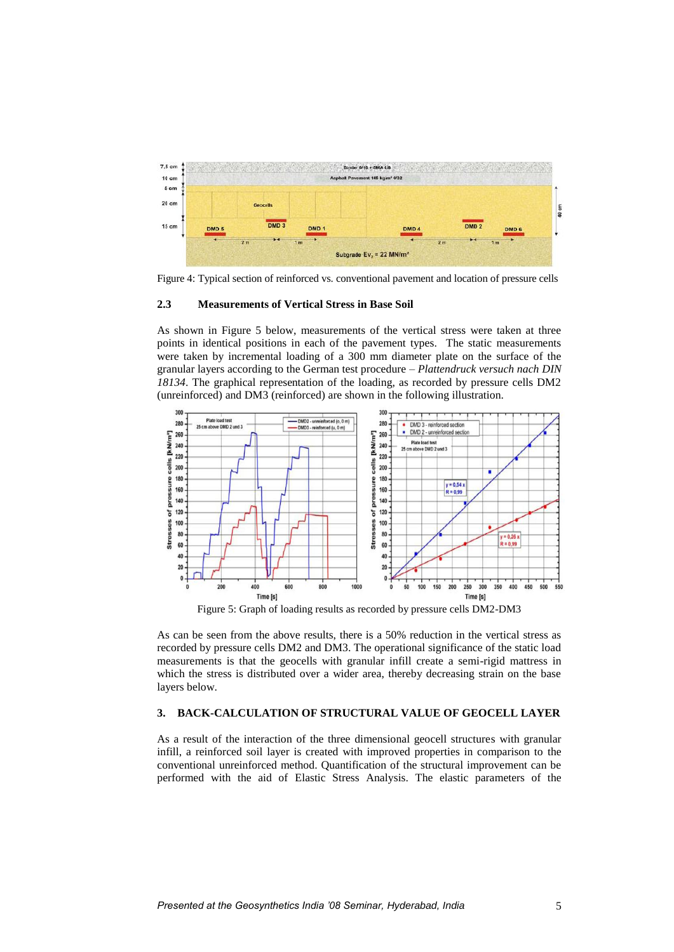

Figure 4: Typical section of reinforced vs. conventional pavement and location of pressure cells

#### **2.3 Measurements of Vertical Stress in Base Soil**

As shown in Figure 5 below, measurements of the vertical stress were taken at three points in identical positions in each of the pavement types. The static measurements were taken by incremental loading of a 300 mm diameter plate on the surface of the granular layers according to the German test procedure – *Plattendruck versuch nach DIN 18134*. The graphical representation of the loading, as recorded by pressure cells DM2 (unreinforced) and DM3 (reinforced) are shown in the following illustration.



Figure 5: Graph of loading results as recorded by pressure cells DM2-DM3

As can be seen from the above results, there is a 50% reduction in the vertical stress as recorded by pressure cells DM2 and DM3. The operational significance of the static load measurements is that the geocells with granular infill create a semi-rigid mattress in which the stress is distributed over a wider area, thereby decreasing strain on the base layers below.

# **3. BACK-CALCULATION OF STRUCTURAL VALUE OF GEOCELL LAYER**

As a result of the interaction of the three dimensional geocell structures with granular infill, a reinforced soil layer is created with improved properties in comparison to the conventional unreinforced method. Quantification of the structural improvement can be performed with the aid of Elastic Stress Analysis. The elastic parameters of the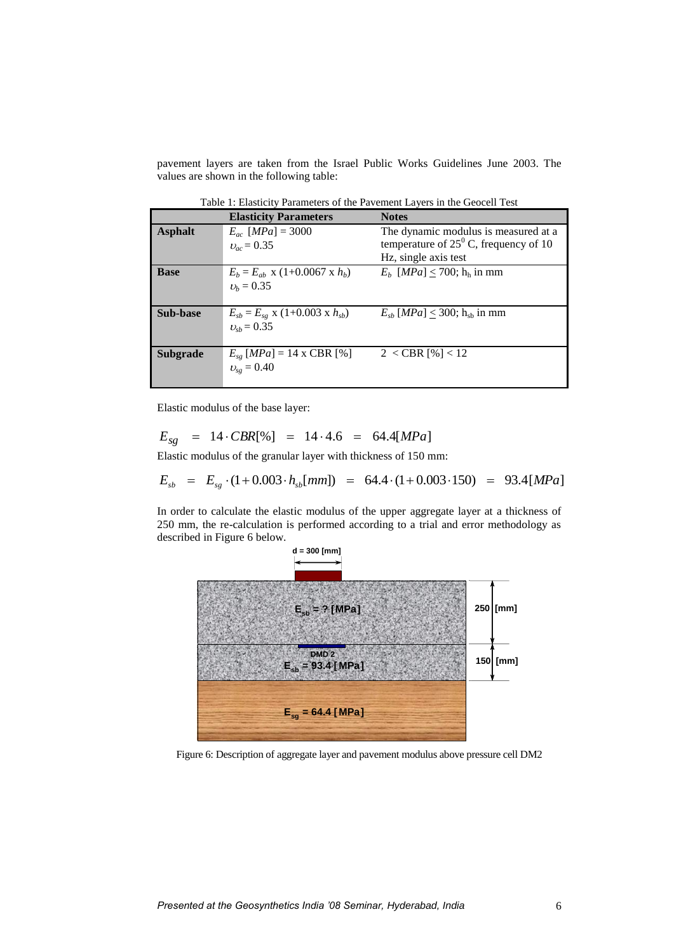pavement layers are taken from the Israel Public Works Guidelines June 2003. The values are shown in the following table:

**Elasticity Parameters Notes Asphalt**  $E_{ac}$  [*MPa*] = 3000  $v_{ac} = 0.35$ The dynamic modulus is measured at a temperature of  $25^{\circ}$  C, frequency of 10 Hz, single axis test **Base**  $E_b = E_{ab} \times (1+0.0067 \times h_b)$  $v_h = 0.35$  $E_b$  [*MPa*] < 700; h<sub>h</sub> in mm **Sub-base**  $E_{sb} = E_{sg} \times (1+0.003 \times h_{sb})$  $v_{\rm sh} = 0.35$  $E_{sb}$  [*MPa*]  $\leq$  300; h<sub>sb</sub> in mm **Subgrade**  $E_{se}$  [*MPa*] = 14 x CBR [%]  $v_{se} = 0.40$  $2 < CBR$  [%] < 12

Table 1: Elasticity Parameters of the Pavement Layers in the Geocell Test

Elastic modulus of the base layer:

$$
E_{sg} = 14 \cdot CBR[\%] = 14 \cdot 4.6 = 64.4[MPa]
$$

Elastic modulus of the granular layer with thickness of 150 mm:

$$
E_{sb} = E_{sg} \cdot (1 + 0.003 \cdot h_{sb}[mm]) = 64.4 \cdot (1 + 0.003 \cdot 150) = 93.4[MPa]
$$

In order to calculate the elastic modulus of the upper aggregate layer at a thickness of 250 mm, the re-calculation is performed according to a trial and error methodology as described in Figure 6 below.



Figure 6: Description of aggregate layer and pavement modulus above pressure cell DM2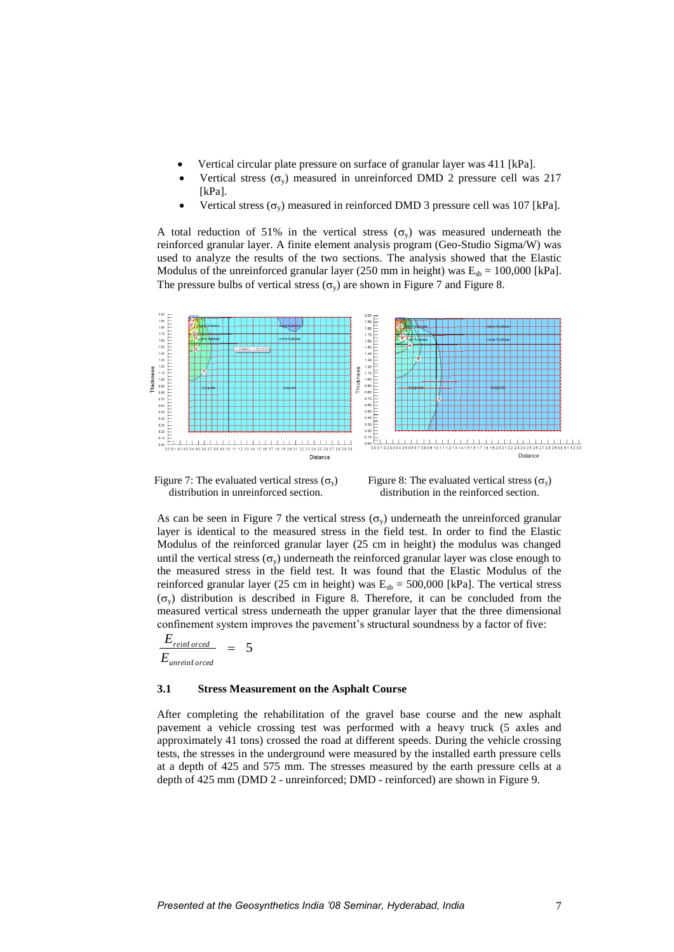- Vertical circular plate pressure on surface of granular layer was 411 [kPa].
- Vertical stress  $(\sigma_v)$  measured in unreinforced DMD 2 pressure cell was 217 [kPa].
- Vertical stress  $(\sigma_v)$  measured in reinforced DMD 3 pressure cell was 107 [kPa].

A total reduction of 51% in the vertical stress  $(\sigma_{v})$  was measured underneath the reinforced granular layer. A finite element analysis program (Geo-Studio Sigma/W) was used to analyze the results of the two sections. The analysis showed that the Elastic Modulus of the unreinforced granular layer (250 mm in height) was  $E_{sb} = 100,000$  [kPa]. The pressure bulbs of vertical stress  $(\sigma_v)$  are shown in Figure 7 and Figure 8.



Figure 7: The evaluated vertical stress  $(\sigma_y)$ distribution in unreinforced section.

Figure 8: The evaluated vertical stress  $(\sigma_v)$ distribution in the reinforced section.

As can be seen in Figure 7 the vertical stress  $(\sigma_{\rm v})$  underneath the unreinforced granular layer is identical to the measured stress in the field test. In order to find the Elastic Modulus of the reinforced granular layer (25 cm in height) the modulus was changed until the vertical stress ( $\sigma_{v}$ ) underneath the reinforced granular layer was close enough to the measured stress in the field test. It was found that the Elastic Modulus of the reinforced granular layer (25 cm in height) was  $E_{sb} = 500,000$  [kPa]. The vertical stress  $(\sigma_y)$  distribution is described in Figure 8. Therefore, it can be concluded from the measured vertical stress underneath the upper granular layer that the three dimensional confinement system improves the pavement's structural soundness by a factor of five:

$$
\frac{E_{reinforced}}{E_{unreinforced}} = 5
$$

#### **3.1 Stress Measurement on the Asphalt Course**

After completing the rehabilitation of the gravel base course and the new asphalt pavement a vehicle crossing test was performed with a heavy truck (5 axles and approximately 41 tons) crossed the road at different speeds. During the vehicle crossing tests, the stresses in the underground were measured by the installed earth pressure cells at a depth of 425 and 575 mm. The stresses measured by the earth pressure cells at a depth of 425 mm (DMD 2 - unreinforced; DMD - reinforced) are shown in Figure 9.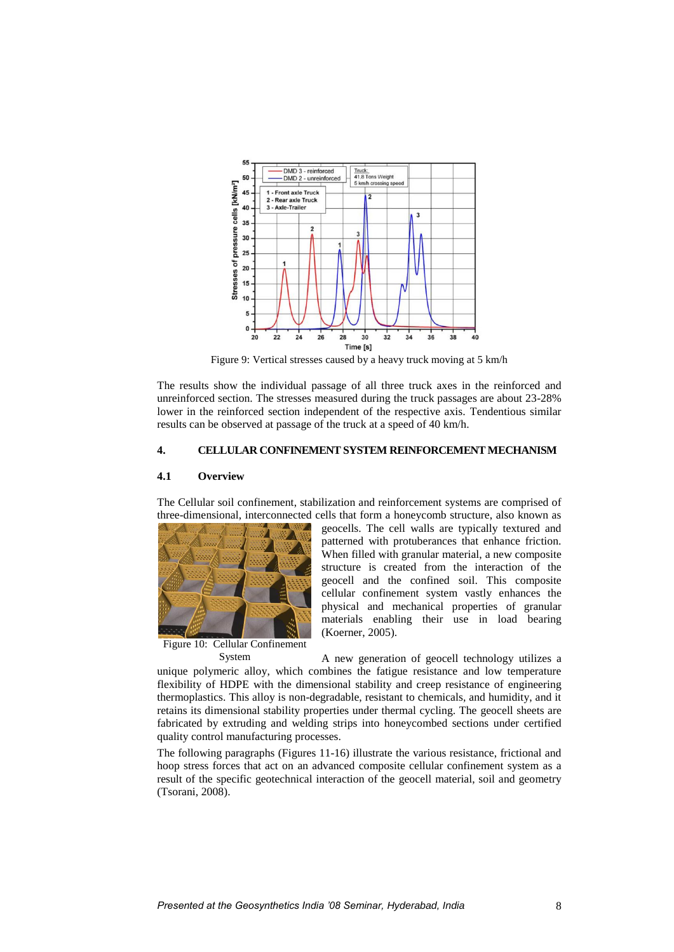

Figure 9: Vertical stresses caused by a heavy truck moving at 5 km/h

The results show the individual passage of all three truck axes in the reinforced and unreinforced section. The stresses measured during the truck passages are about 23-28% lower in the reinforced section independent of the respective axis. Tendentious similar results can be observed at passage of the truck at a speed of 40 km/h.

## **4. CELLULAR CONFINEMENT SYSTEM REINFORCEMENT MECHANISM**

## **4.1 Overview**

The Cellular soil confinement, stabilization and reinforcement systems are comprised of three-dimensional, interconnected cells that form a honeycomb structure, also known as



Figure 10: Cellular Confinement System

geocells. The cell walls are typically textured and patterned with protuberances that enhance friction. When filled with granular material, a new composite structure is created from the interaction of the geocell and the confined soil. This composite cellular confinement system vastly enhances the physical and mechanical properties of granular materials enabling their use in load bearing (Koerner, 2005).

A new generation of geocell technology utilizes a unique polymeric alloy, which combines the fatigue resistance and low temperature flexibility of HDPE with the dimensional stability and creep resistance of engineering thermoplastics. This alloy is non-degradable, resistant to chemicals, and humidity, and it retains its dimensional stability properties under thermal cycling. The geocell sheets are fabricated by extruding and welding strips into honeycombed sections under certified quality control manufacturing processes.

The following paragraphs (Figures 11-16) illustrate the various resistance, frictional and hoop stress forces that act on an advanced composite cellular confinement system as a result of the specific geotechnical interaction of the geocell material, soil and geometry (Tsorani, 2008).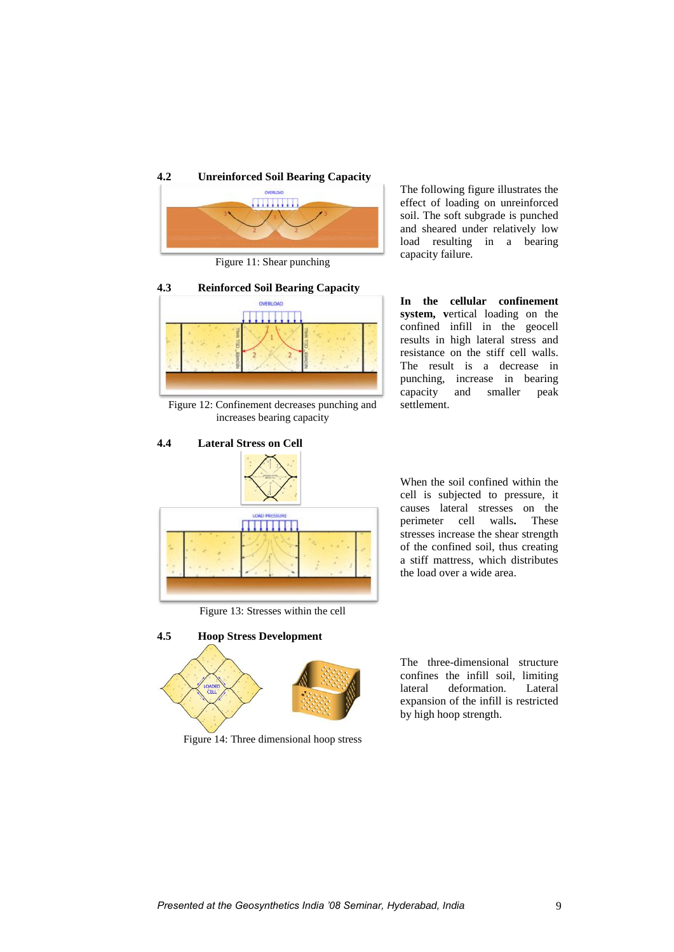

Figure 11: Shear punching



Figure 12: Confinement decreases punching and increases bearing capacity



Figure 13: Stresses within the cell



Figure 14: Three dimensional hoop stress

The following figure illustrates the effect of loading on unreinforced soil. The soft subgrade is punched and sheared under relatively low load resulting in a bearing capacity failure.

**In the cellular confinement system, v**ertical loading on the confined infill in the geocell results in high lateral stress and resistance on the stiff cell walls. The result is a decrease in punching, increase in bearing capacity and smaller peak settlement.

When the soil confined within the cell is subjected to pressure, it causes lateral stresses on the perimeter cell walls**.** These stresses increase the shear strength of the confined soil, thus creating a stiff mattress, which distributes the load over a wide area.

The three-dimensional structure confines the infill soil, limiting lateral deformation. Lateral expansion of the infill is restricted by high hoop strength.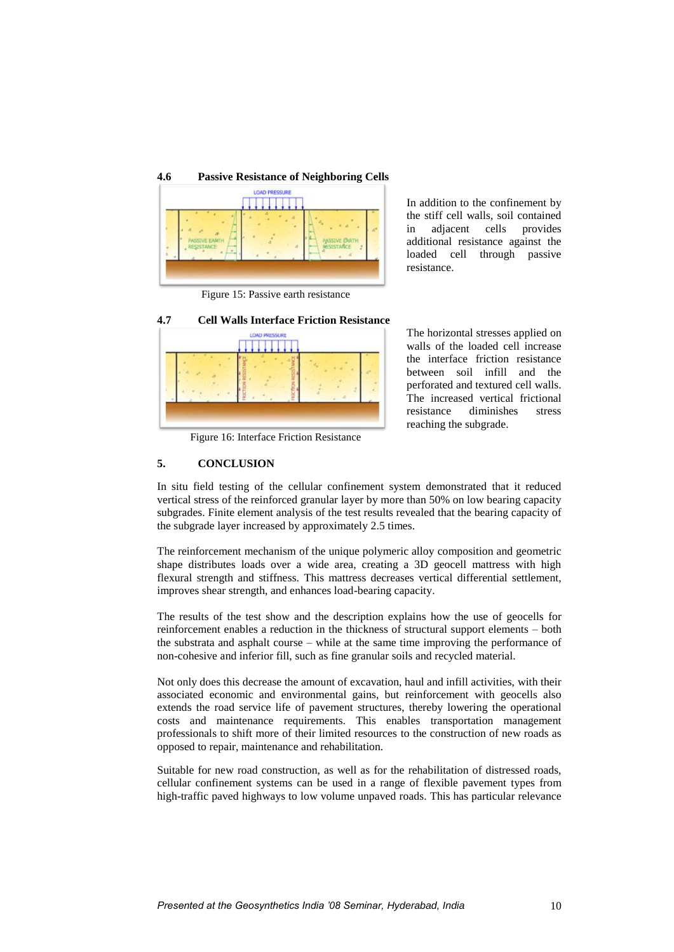

Figure 15: Passive earth resistance



In addition to the confinement by the stiff cell walls, soil contained in adjacent cells provides additional resistance against the loaded cell through passive resistance.

The horizontal stresses applied on walls of the loaded cell increase the interface friction resistance between soil infill and the perforated and textured cell walls. The increased vertical frictional resistance diminishes stress reaching the subgrade.

Figure 16: Interface Friction Resistance

## **5. CONCLUSION**

In situ field testing of the cellular confinement system demonstrated that it reduced vertical stress of the reinforced granular layer by more than 50% on low bearing capacity subgrades. Finite element analysis of the test results revealed that the bearing capacity of the subgrade layer increased by approximately 2.5 times.

The reinforcement mechanism of the unique polymeric alloy composition and geometric shape distributes loads over a wide area, creating a 3D geocell mattress with high flexural strength and stiffness. This mattress decreases vertical differential settlement, improves shear strength, and enhances load-bearing capacity.

The results of the test show and the description explains how the use of geocells for reinforcement enables a reduction in the thickness of structural support elements – both the substrata and asphalt course – while at the same time improving the performance of non-cohesive and inferior fill, such as fine granular soils and recycled material.

Not only does this decrease the amount of excavation, haul and infill activities, with their associated economic and environmental gains, but reinforcement with geocells also extends the road service life of pavement structures, thereby lowering the operational costs and maintenance requirements. This enables transportation management professionals to shift more of their limited resources to the construction of new roads as opposed to repair, maintenance and rehabilitation.

Suitable for new road construction, as well as for the rehabilitation of distressed roads, cellular confinement systems can be used in a range of flexible pavement types from high-traffic paved highways to low volume unpaved roads. This has particular relevance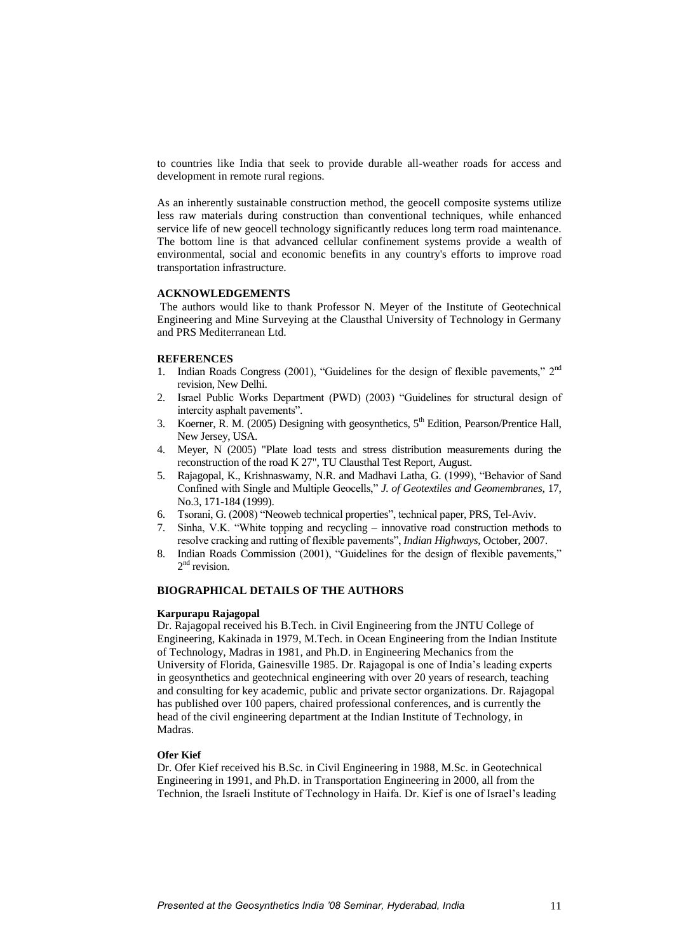to countries like India that seek to provide durable all-weather roads for access and development in remote rural regions.

As an inherently sustainable construction method, the geocell composite systems utilize less raw materials during construction than conventional techniques, while enhanced service life of new geocell technology significantly reduces long term road maintenance. The bottom line is that advanced cellular confinement systems provide a wealth of environmental, social and economic benefits in any country's efforts to improve road transportation infrastructure.

## **ACKNOWLEDGEMENTS**

The authors would like to thank Professor N. Meyer of the Institute of Geotechnical Engineering and Mine Surveying at the Clausthal University of Technology in Germany and PRS Mediterranean Ltd.

## **REFERENCES**

- 1. Indian Roads Congress (2001), "Guidelines for the design of flexible pavements,"  $2<sup>nd</sup>$ revision, New Delhi.
- 2. Israel Public Works Department (PWD) (2003) "Guidelines for structural design of intercity asphalt pavements".
- 3. Koerner, R. M. (2005) Designing with geosynthetics, 5<sup>th</sup> Edition, Pearson/Prentice Hall, New Jersey, USA.
- 4. Meyer, N (2005) "Plate load tests and stress distribution measurements during the reconstruction of the road K 27", TU Clausthal Test Report, August.
- 5. Rajagopal, K., Krishnaswamy, N.R. and Madhavi Latha, G. (1999), "Behavior of Sand Confined with Single and Multiple Geocells," *J. of Geotextiles and Geomembranes*, 17, No.3, 171-184 (1999).
- 6. Tsorani, G. (2008) "Neoweb technical properties", technical paper, PRS, Tel-Aviv.
- 7. Sinha, V.K. "White topping and recycling innovative road construction methods to resolve cracking and rutting of flexible pavements", *Indian Highways*, October, 2007.
- 8. Indian Roads Commission (2001), "Guidelines for the design of flexible pavements," 2<sup>nd</sup> revision.

#### **BIOGRAPHICAL DETAILS OF THE AUTHORS**

## **Karpurapu Rajagopal**

Dr. Rajagopal received his B.Tech. in Civil Engineering from the JNTU College of Engineering, Kakinada in 1979, M.Tech. in Ocean Engineering from the Indian Institute of Technology, Madras in 1981, and Ph.D. in Engineering Mechanics from the University of Florida, Gainesville 1985. Dr. Rajagopal is one of India's leading experts in geosynthetics and geotechnical engineering with over 20 years of research, teaching and consulting for key academic, public and private sector organizations. Dr. Rajagopal has published over 100 papers, chaired professional conferences, and is currently the head of the civil engineering department at the Indian Institute of Technology, in Madras.

#### **Ofer Kief**

Dr. Ofer Kief received his B.Sc. in Civil Engineering in 1988, M.Sc. in Geotechnical Engineering in 1991, and Ph.D. in Transportation Engineering in 2000, all from the Technion, the Israeli Institute of Technology in Haifa. Dr. Kief is one of Israel's leading